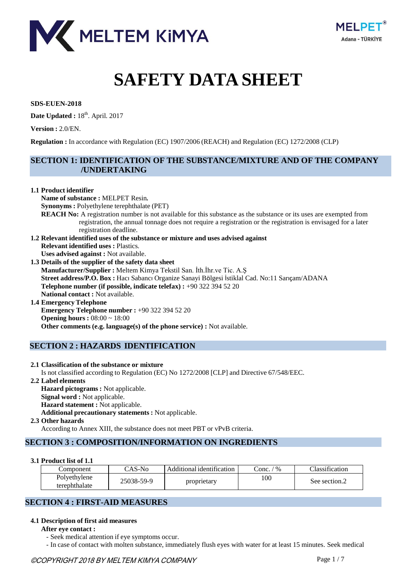



# **SAFETY DATA SHEET**

**SDS-EUEN-2018**

**Date Updated :** 18th . April. 2017

**Version :** 2.0/EN.

**Regulation :** In accordance with Regulation (EC) 1907/2006 (REACH) and Regulation (EC) 1272/2008 (CLP)

# **SECTION 1: IDENTIFICATION OF THE SUBSTANCE/MIXTURE AND OF THE COMPANY /UNDERTAKING**

#### **1.1 Product identifier**

**Name of substance :** MELPET Resin*.* **Synonyms :** Polyethylene terephthalate (PET) **REACH No:** A registration number is not available for this substance as the substance or its uses are exempted from registration, the annual tonnage does not require a registration or the registration is envisaged for a later registration deadline. **1.2 Relevant identified uses of the substance or mixture and uses advised against Relevant identified uses :** Plastics. **Uses advised against :** Not available. **1.3 Details of the supplier of the safety data sheet Manufacturer/Supplier :** Meltem Kimya Tekstil San. İth.İhr.ve Tic. A.Ş **Street address/P.O. Box :** Hacı Sabancı Organize Sanayi Bölgesi İstiklal Cad. No:11 Sarıçam/ADANA **Telephone number (if possible, indicate telefax) :** +90 322 394 52 20 **National contact :** Not available. **1.4 Emergency Telephone Emergency Telephone number :** +90 322 394 52 20 **Opening hours :** 08:00 ~ 18:00 **Other comments (e.g. language(s) of the phone service) :** Not available.

# **SECTION 2 : HAZARDS IDENTIFICATION**

## **2.1 Classification of the substance or mixture** Is not classified according to Regulation (EC) No 1272/2008 [CLP] and Directive 67/548/EEC.

**2.2 Label elements Hazard pictograms :** Not applicable. **Signal word :** Not applicable. **Hazard statement :** Not applicable. **Additional precautionary statements :** Not applicable. **2.3 Other hazards** According to Annex XIII, the substance does not meet PBT or vPvB criteria.

# **SECTION 3 : COMPOSITION/INFORMATION ON INGREDIENTS**

#### **3.1 Product list of 1.1**

| Component                     | $\bigcap$ AS-No | Additional identification | $\frac{1}{2}$<br>conc. | Classification |
|-------------------------------|-----------------|---------------------------|------------------------|----------------|
| Polyethylene<br>terephthalate | 25038-59-9      | proprietary               | 100                    | See section.2  |

# **SECTION 4 : FIRST-AID MEASURES**

## **4.1 Description of first aid measures**

**After eye contact :**

- Seek medical attention if eye symptoms occur.

- In case of contact with molten substance, immediately flush eyes with water for at least 15 minutes. Seek medical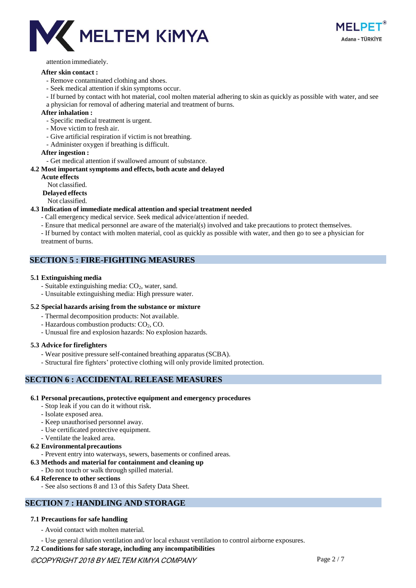



attention immediately.

#### **After skin contact :**

- Remove contaminated clothing and shoes.
- Seek medical attention if skin symptoms occur.
- If burned by contact with hot material, cool molten material adhering to skin as quickly as possible with water, and see a physician for removal of adhering material and treatment of burns.

#### **After inhalation :**

- Specific medical treatment is urgent.
- Move victim to fresh air.
- Give artificial respiration if victim is not breathing.
- Administer oxygen if breathing is difficult.

#### **After ingestion :**

- Get medical attention if swallowed amount of substance.

#### **4.2 Most important symptoms and effects, both acute and delayed**

- **Acute effects**
- Not classified.
- **Delayed effects**
- Not classified.

#### **4.3 Indication of immediate medical attention and special treatment needed**

- Call emergency medical service. Seek medical advice/attention if needed.
- Ensure that medical personnel are aware of the material(s) involved and take precautions to protect themselves.
- If burned by contact with molten material, cool as quickly as possible with water, and then go to see a physician for treatment of burns.

## **SECTION 5 : FIRE-FIGHTING MEASURES**

#### **5.1 Extinguishing media**

- Suitable extinguishing media:  $CO<sub>2</sub>$ , water, sand.
- Unsuitable extinguishing media: High pressure water.

#### **5.2 Special hazards arising from the substance or mixture**

- Thermal decomposition products: Not available.
- Hazardous combustion products: CO<sub>2</sub>, CO.
- Unusual fire and explosion hazards: No explosion hazards.

#### **5.3 Advice for firefighters**

- Wear positive pressure self-contained breathing apparatus (SCBA).
- Structural fire fighters' protective clothing will only provide limited protection.

## **SECTION 6 : ACCIDENTAL RELEASE MEASURES**

#### **6.1 Personal precautions, protective equipment and emergency procedures**

- Stop leak if you can do it without risk.
- Isolate exposed area.
- Keep unauthorised personnel away.
- Use certificated protective equipment.
- Ventilate the leaked area.

## **6.2 Environmentalprecautions**

- Prevent entry into waterways, sewers, basements or confined areas.
- **6.3 Methods and material for containment and cleaning up**
	- Do not touch or walk through spilled material.
- **6.4 Reference to other sections**
	- See also sections 8 and 13 of this Safety Data Sheet.

# **SECTION 7 : HANDLING AND STORAGE**

## **7.1 Precautions for safe handling**

- Avoid contact with molten material.
- Use general dilution ventilation and/or local exhaust ventilation to control airborne exposures.
- **7.2 Conditions for safe storage, including any incompatibilities**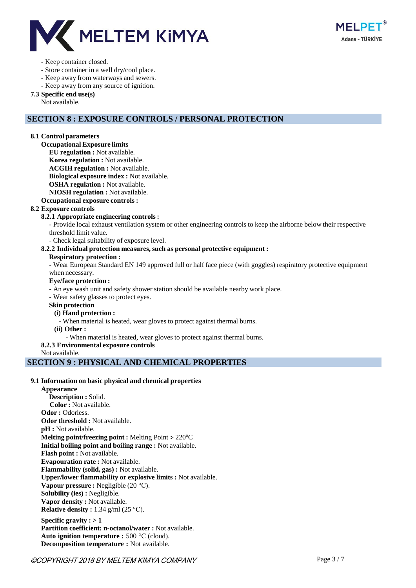

#### - Keep container closed.

- Store container in a well dry/cool place.
- Keep away from waterways and sewers.
- Keep away from any source of ignition.

#### **7.3 Specific end use(s)**

Not available.

# **SECTION 8 : EXPOSURE CONTROLS / PERSONAL PROTECTION**

#### **8.1 Control parameters**

**Occupational Exposure limits**

**EU regulation :** Not available.

**Korea regulation :** Not available.

**ACGIH regulation :** Not available.

**Biological exposure index :** Not available.

**OSHA regulation :** Not available.

**NIOSH regulation :** Not available.

#### **Occupational exposure controls :**

## **8.2 Exposure controls**

#### **8.2.1 Appropriate engineering controls :**

- Provide local exhaust ventilation system or other engineering controls to keep the airborne below their respective threshold limit value.

- Check legal suitability of exposure level.

#### **8.2.2 Individual protection measures, such as personal protective equipment :**

#### **Respiratory protection :**

- Wear European Standard EN 149 approved full or half face piece (with goggles) respiratory protective equipment when necessary.

#### **Eye/face protection :**

- An eye wash unit and safety shower station should be available nearby work place.

- Wear safety glasses to protect eyes.

#### **Skin protection**

#### **(i) Hand protection :**

- When material is heated, wear gloves to protect against thermal burns.

**(ii) Other :**

- When material is heated, wear gloves to protect against thermal burns.

#### **8.2.3 Environmental exposure controls**

Not available.

# **SECTION 9 : PHYSICAL AND CHEMICAL PROPERTIES**

## **9.1 Information on basic physical and chemical properties**

**Appearance Description :** Solid. **Color :** Not available. **Odor :** Odorless. **Odor threshold :** Not available.

**pH :** Not available.

**Melting point/freezing point :** Melting Point > 220 °C

**Initial boiling point and boiling range :** Not available.

**Flash point :** Not available.

**Evapouration rate :** Not available.

**Flammability (solid, gas) :** Not available. **Upper/lower flammability or explosive limits :** Not available.

**Vapour pressure :** Negligible (20 °C).

**Solubility (ies) :** Negligible.

**Vapor density :** Not available.

**Relative density :** 1.34 g/ml (25 °C).

**Specific gravity : > 1 Partition coefficient: n-octanol/water :** Not available. **Auto ignition temperature :** 500 °C (cloud). **Decomposition temperature :** Not available.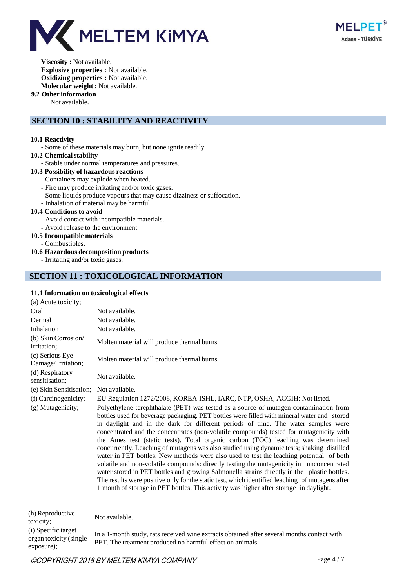



**Viscosity :** Not available. **Explosive properties :** Not available. **Oxidizing properties :** Not available. **Molecular weight :** Not available.

#### **9.2 Other information**

Not available.

# **SECTION 10 : STABILITY AND REACTIVITY**

#### **10.1 Reactivity**

- Some of these materials may burn, but none ignite readily.
- 10.2 Chemical stability
	- Stable under normal temperatures and pressures.

## **10.3 Possibility of hazardous reactions**

- Containers may explode when heated.
- Fire may produce irritating and/or toxic gases.
- Some liquids produce vapours that may cause dizziness or suffocation.
- Inhalation of material may be harmful.

#### **10.4 Conditions to avoid**

- Avoid contact with incompatible materials.
- Avoid release to the environment.

#### **10.5 Incompatible materials**

- Combustibles.

#### **10.6 Hazardous decomposition products**

- Irritating and/or toxic gases.

#### **SECTION 11 : TOXICOLOGICAL INFORMATION**

#### **11.1 Information on toxicological effects**

| 1111 mhoi mation on toxicological cheets |                                                                                                                                                                                                                                                                                                                                                                                                                                                                                                                                                                                                                                                                                                                                                                                                                                                                                                                                                                                                                                          |
|------------------------------------------|------------------------------------------------------------------------------------------------------------------------------------------------------------------------------------------------------------------------------------------------------------------------------------------------------------------------------------------------------------------------------------------------------------------------------------------------------------------------------------------------------------------------------------------------------------------------------------------------------------------------------------------------------------------------------------------------------------------------------------------------------------------------------------------------------------------------------------------------------------------------------------------------------------------------------------------------------------------------------------------------------------------------------------------|
| (a) Acute toxicity;                      |                                                                                                                                                                                                                                                                                                                                                                                                                                                                                                                                                                                                                                                                                                                                                                                                                                                                                                                                                                                                                                          |
| Oral                                     | Not available.                                                                                                                                                                                                                                                                                                                                                                                                                                                                                                                                                                                                                                                                                                                                                                                                                                                                                                                                                                                                                           |
| Dermal                                   | Not available.                                                                                                                                                                                                                                                                                                                                                                                                                                                                                                                                                                                                                                                                                                                                                                                                                                                                                                                                                                                                                           |
| Inhalation                               | Not available.                                                                                                                                                                                                                                                                                                                                                                                                                                                                                                                                                                                                                                                                                                                                                                                                                                                                                                                                                                                                                           |
| (b) Skin Corrosion/<br>Irritation;       | Molten material will produce thermal burns.                                                                                                                                                                                                                                                                                                                                                                                                                                                                                                                                                                                                                                                                                                                                                                                                                                                                                                                                                                                              |
| (c) Serious Eye<br>Damage/Irritation;    | Molten material will produce thermal burns.                                                                                                                                                                                                                                                                                                                                                                                                                                                                                                                                                                                                                                                                                                                                                                                                                                                                                                                                                                                              |
| (d) Respiratory<br>sensitisation;        | Not available.                                                                                                                                                                                                                                                                                                                                                                                                                                                                                                                                                                                                                                                                                                                                                                                                                                                                                                                                                                                                                           |
| (e) Skin Sensitisation;                  | Not available.                                                                                                                                                                                                                                                                                                                                                                                                                                                                                                                                                                                                                                                                                                                                                                                                                                                                                                                                                                                                                           |
| (f) Carcinogenicity;                     | EU Regulation 1272/2008, KOREA-ISHL, IARC, NTP, OSHA, ACGIH: Not listed.                                                                                                                                                                                                                                                                                                                                                                                                                                                                                                                                                                                                                                                                                                                                                                                                                                                                                                                                                                 |
| (g) Mutagenicity;                        | Polyethylene terephthalate (PET) was tested as a source of mutagen contamination from<br>bottles used for beverage packaging. PET bottles were filled with mineral water and stored<br>in daylight and in the dark for different periods of time. The water samples were<br>concentrated and the concentrates (non-volatile compounds) tested for mutagenicity with<br>the Ames test (static tests). Total organic carbon (TOC) leaching was determined<br>concurrently. Leaching of mutagens was also studied using dynamic tests; shaking distilled<br>water in PET bottles. New methods were also used to test the leaching potential of both<br>volatile and non-volatile compounds: directly testing the mutagenicity in unconcentrated<br>water stored in PET bottles and growing Salmonella strains directly in the plastic bottles.<br>The results were positive only for the static test, which identified leaching of mutagens after<br>1 month of storage in PET bottles. This activity was higher after storage in daylight. |
| (h) Reproductive<br>toxicity;            | Not available.                                                                                                                                                                                                                                                                                                                                                                                                                                                                                                                                                                                                                                                                                                                                                                                                                                                                                                                                                                                                                           |
| (i) Specific target                      | The all characteristics was accelered biling consecute algebraical after acceleral magnetic access os bilita                                                                                                                                                                                                                                                                                                                                                                                                                                                                                                                                                                                                                                                                                                                                                                                                                                                                                                                             |

organ toxicity (single exposure); In a 1-month study, rats received wine extracts obtained after several months contact with PET. The treatment produced no harmful effect on animals.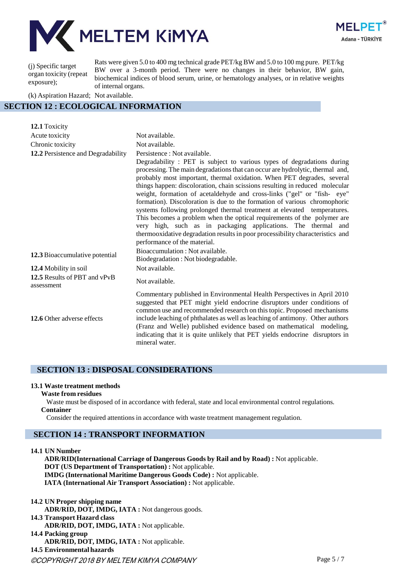



(j) Specific target organ toxicity (repeat exposure);

Rats were given 5.0 to 400 mg technical grade PET/kg BW and 5.0 to 100 mg pure. PET/kg BW over a 3-month period. There were no changes in their behavior, BW gain, biochemical indices of blood serum, urine, or hematology analyses, or in relative weights of internal organs.

(k) Aspiration Hazard; Not available.

# **SECTION 12 : ECOLOGICAL INFORMATION**

| 12.1 Toxicity                              |                                                                                                                                                                                                                                                                                                                                                                                                                                                                                                                                                                                                                                                                                                                                                                                                                                                   |
|--------------------------------------------|---------------------------------------------------------------------------------------------------------------------------------------------------------------------------------------------------------------------------------------------------------------------------------------------------------------------------------------------------------------------------------------------------------------------------------------------------------------------------------------------------------------------------------------------------------------------------------------------------------------------------------------------------------------------------------------------------------------------------------------------------------------------------------------------------------------------------------------------------|
| Acute toxicity                             | Not available.                                                                                                                                                                                                                                                                                                                                                                                                                                                                                                                                                                                                                                                                                                                                                                                                                                    |
| Chronic toxicity                           | Not available.                                                                                                                                                                                                                                                                                                                                                                                                                                                                                                                                                                                                                                                                                                                                                                                                                                    |
| 12.2 Persistence and Degradability         | Persistence : Not available.<br>Degradability: PET is subject to various types of degradations during<br>processing. The main degradations that can occur are hydrolytic, thermal and,<br>probably most important, thermal oxidation. When PET degrades, several<br>things happen: discoloration, chain scissions resulting in reduced molecular<br>weight, formation of acetaldehyde and cross-links ("gel" or "fish- eye"<br>formation). Discoloration is due to the formation of various chromophoric<br>systems following prolonged thermal treatment at elevated temperatures.<br>This becomes a problem when the optical requirements of the polymer are<br>very high, such as in packaging applications. The thermal and<br>thermooxidative degradation results in poor processibility characteristics and<br>performance of the material. |
| 12.3 Bioaccumulative potential             | Bioaccumulation: Not available.<br>Biodegradation: Not biodegradable.                                                                                                                                                                                                                                                                                                                                                                                                                                                                                                                                                                                                                                                                                                                                                                             |
| 12.4 Mobility in soil                      | Not available.                                                                                                                                                                                                                                                                                                                                                                                                                                                                                                                                                                                                                                                                                                                                                                                                                                    |
| 12.5 Results of PBT and vPvB<br>assessment | Not available.                                                                                                                                                                                                                                                                                                                                                                                                                                                                                                                                                                                                                                                                                                                                                                                                                                    |
| 12.6 Other adverse effects                 | Commentary published in Environmental Health Perspectives in April 2010<br>suggested that PET might yield endocrine disruptors under conditions of<br>common use and recommended research on this topic. Proposed mechanisms<br>include leaching of phthalates as well as leaching of antimony. Other authors<br>(Franz and Welle) published evidence based on mathematical modeling,<br>indicating that it is quite unlikely that PET yields endocrine disruptors in<br>mineral water.                                                                                                                                                                                                                                                                                                                                                           |

## **SECTION 13 : DISPOSAL CONSIDERATIONS**

#### **13.1 Waste treatment methods**

#### **Waste from residues**

Waste must be disposed of in accordance with federal, state and local environmental control regulations. **Container**

Consider the required attentions in accordance with waste treatment management regulation.

# **SECTION 14 : TRANSPORT INFORMATION**

**14.1 UN Number**

**ADR/RID(International Carriage of Dangerous Goods by Rail and by Road) :** Not applicable. **DOT (US Department of Transportation) :** Not applicable. **IMDG (International Maritime Dangerous Goods Code) :** Not applicable. **IATA (International Air Transport Association) :** Not applicable.

- **14.2 UN Proper shipping name ADR/RID, DOT, IMDG, IATA :** Not dangerous goods.
- **14.3 Transport Hazard class**
- **ADR/RID, DOT, IMDG, IATA :** Not applicable.
- **14.4 Packing group**
	- **ADR/RID, DOT, IMDG, IATA :** Not applicable.

**14.5 Environmental hazards**

©COPYRIGHT 2018 BY MELTEM KIMYA COMPANY Page 5 / 7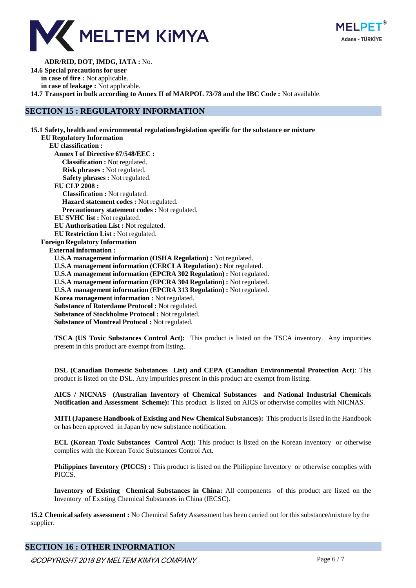



**ADR/RID, DOT, IMDG, IATA :** No. **14.6 Special precautions for user in case of fire :** Not applicable. **in case of leakage :** Not applicable. **14.7 Transport in bulk according to Annex II of MARPOL 73/78 and the IBC Code :** Not available.

# **SECTION 15 : REGULATORY INFORMATION**

**15.1 Safety, health and environmental regulation/legislation specific for the substance or mixture EU Regulatory Information EU classification : Annex I of Directive 67/548/EEC : Classification :** Not regulated. **Risk phrases :** Not regulated. **Safety phrases :** Not regulated. **EU CLP 2008 : Classification :** Not regulated. **Hazard statement codes :** Not regulated. **Precautionary statement codes :** Not regulated. **EU SVHC list :** Not regulated. **EU Authorisation List :** Not regulated. **EU Restriction List :** Not regulated. **Foreign Regulatory Information External information : U.S.A management information (OSHA Regulation) :** Not regulated. **U.S.A management information (CERCLA Regulation) :** Not regulated. **U.S.A management information (EPCRA 302 Regulation) :** Not regulated. **U.S.A management information (EPCRA 304 Regulation) :** Not regulated. **U.S.A management information (EPCRA 313 Regulation) :** Not regulated. **Korea management information :** Not regulated. **Substance of Roterdame Protocol :** Not regulated. **Substance of Stockholme Protocol :** Not regulated. **Substance of Montreal Protocol :** Not regulated.

**TSCA (US Toxic Substances Control Act):** This product is listed on the TSCA inventory. Any impurities present in this product are exempt from listing.

**DSL (Canadian Domestic Substances List) and CEPA (Canadian Environmental Protection Act**): This product is listed on the DSL. Any impurities present in this product are exempt from listing.

**AICS / NICNAS (Australian Inventory of Chemical Substances and National Industrial Chemicals Notification and Assessment Scheme):** This product is listed on AICS or otherwise complies with NICNAS.

**MITI (Japanese Handbook of Existing and New Chemical Substances):** This product is listed in the Handbook or has been approved in Japan by new substance notification.

**ECL (Korean Toxic Substances Control Act):** This product is listed on the Korean inventory or otherwise complies with the Korean Toxic Substances Control Act.

**Philippines Inventory (PICCS) :** This product is listed on the Philippine Inventory or otherwise complies with PICCS.

**Inventory of Existing Chemical Substances in China:** All components of this product are listed on the Inventory of Existing Chemical Substances in China (IECSC).

**15.2 Chemical safety assessment :** No Chemical Safety Assessment has been carried out for this substance/mixture by the supplier.

# **SECTION 16 : OTHER INFORMATION**

©COPYRIGHT 2018 BY MELTEM KIMYA COMPANY Page 6 / 7